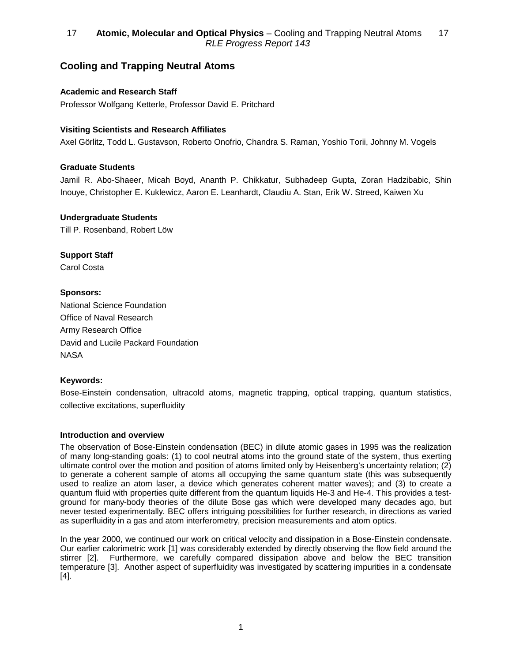# **Cooling and Trapping Neutral Atoms**

# **Academic and Research Staff**

Professor Wolfgang Ketterle, Professor David E. Pritchard

### **Visiting Scientists and Research Affiliates**

Axel Görlitz, Todd L. Gustavson, Roberto Onofrio, Chandra S. Raman, Yoshio Torii, Johnny M. Vogels

#### **Graduate Students**

Jamil R. Abo-Shaeer, Micah Boyd, Ananth P. Chikkatur, Subhadeep Gupta, Zoran Hadzibabic, Shin Inouye, Christopher E. Kuklewicz, Aaron E. Leanhardt, Claudiu A. Stan, Erik W. Streed, Kaiwen Xu

#### **Undergraduate Students**

Till P. Rosenband, Robert Löw

## **Support Staff**

Carol Costa

#### **Sponsors:**

National Science Foundation Office of Naval Research Army Research Office David and Lucile Packard Foundation **NASA** 

### **Keywords:**

Bose-Einstein condensation, ultracold atoms, magnetic trapping, optical trapping, quantum statistics, collective excitations, superfluidity

#### **Introduction and overview**

The observation of Bose-Einstein condensation (BEC) in dilute atomic gases in 1995 was the realization of many long-standing goals: (1) to cool neutral atoms into the ground state of the system, thus exerting ultimate control over the motion and position of atoms limited only by Heisenberg's uncertainty relation; (2) to generate a coherent sample of atoms all occupying the same quantum state (this was subsequently used to realize an atom laser, a device which generates coherent matter waves); and (3) to create a quantum fluid with properties quite different from the quantum liquids He-3 and He-4. This provides a testground for many-body theories of the dilute Bose gas which were developed many decades ago, but never tested experimentally. BEC offers intriguing possibilities for further research, in directions as varied as superfluidity in a gas and atom interferometry, precision measurements and atom optics.

In the year 2000, we continued our work on critical velocity and dissipation in a Bose-Einstein condensate. Our earlier calorimetric work [1] was considerably extended by directly observing the flow field around the stirrer [2]. Furthermore, we carefully compared dissipation above and below the BEC transition temperature [3]. Another aspect of superfluidity was investigated by scattering impurities in a condensate [4].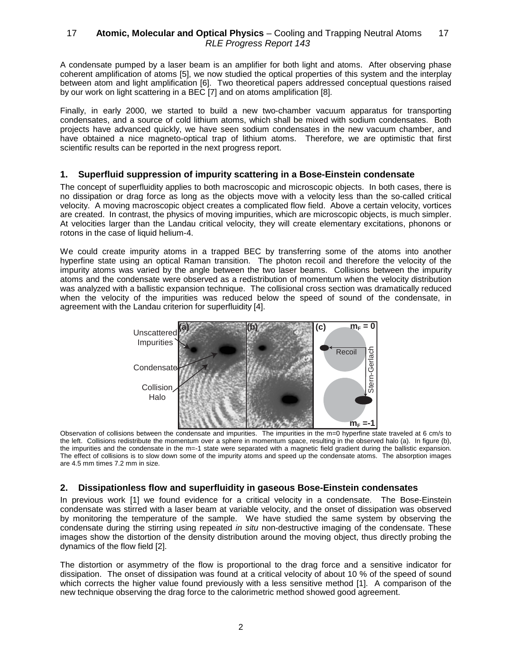A condensate pumped by a laser beam is an amplifier for both light and atoms. After observing phase coherent amplification of atoms [5], we now studied the optical properties of this system and the interplay between atom and light amplification [6]. Two theoretical papers addressed conceptual questions raised by our work on light scattering in a BEC [7] and on atoms amplification [8].

Finally, in early 2000, we started to build a new two-chamber vacuum apparatus for transporting condensates, and a source of cold lithium atoms, which shall be mixed with sodium condensates. Both projects have advanced quickly, we have seen sodium condensates in the new vacuum chamber, and have obtained a nice magneto-optical trap of lithium atoms. Therefore, we are optimistic that first scientific results can be reported in the next progress report.

#### **1. Superfluid suppression of impurity scattering in a Bose-Einstein condensate**

The concept of superfluidity applies to both macroscopic and microscopic objects. In both cases, there is no dissipation or drag force as long as the objects move with a velocity less than the so-called critical velocity. A moving macroscopic object creates a complicated flow field. Above a certain velocity, vortices are created. In contrast, the physics of moving impurities, which are microscopic objects, is much simpler. At velocities larger than the Landau critical velocity, they will create elementary excitations, phonons or rotons in the case of liquid helium-4.

We could create impurity atoms in a trapped BEC by transferring some of the atoms into another hyperfine state using an optical Raman transition. The photon recoil and therefore the velocity of the impurity atoms was varied by the angle between the two laser beams. Collisions between the impurity atoms and the condensate were observed as a redistribution of momentum when the velocity distribution was analyzed with a ballistic expansion technique. The collisional cross section was dramatically reduced when the velocity of the impurities was reduced below the speed of sound of the condensate, in agreement with the Landau criterion for superfluidity [4].



Observation of collisions between the condensate and impurities. The impurities in the m=0 hyperfine state traveled at 6 cm/s to the left. Collisions redistribute the momentum over a sphere in momentum space, resulting in the observed halo (a). In figure (b), the impurities and the condensate in the m=-1 state were separated with a magnetic field gradient during the ballistic expansion. The effect of collisions is to slow down some of the impurity atoms and speed up the condensate atoms. The absorption images are 4.5 mm times 7.2 mm in size.

### **2. Dissipationless flow and superfluidity in gaseous Bose-Einstein condensates**

In previous work [1] we found evidence for a critical velocity in a condensate. The Bose-Einstein condensate was stirred with a laser beam at variable velocity, and the onset of dissipation was observed by monitoring the temperature of the sample. We have studied the same system by observing the condensate during the stirring using repeated in situ non-destructive imaging of the condensate. These images show the distortion of the density distribution around the moving object, thus directly probing the dynamics of the flow field [2].

The distortion or asymmetry of the flow is proportional to the drag force and a sensitive indicator for dissipation. The onset of dissipation was found at a critical velocity of about 10 % of the speed of sound which corrects the higher value found previously with a less sensitive method [1]. A comparison of the new technique observing the drag force to the calorimetric method showed good agreement.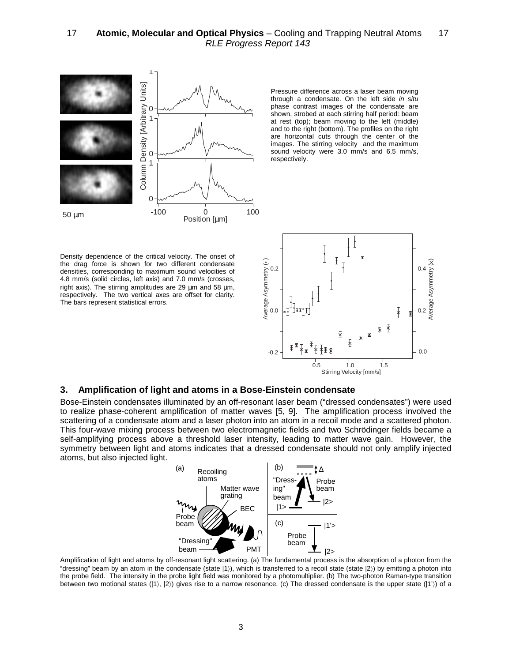

Pressure difference across a laser beam moving through a condensate. On the left side in situ phase contrast images of the condensate are shown, strobed at each stirring half period: beam at rest (top); beam moving to the left (middle) and to the right (bottom). The profiles on the right are horizontal cuts through the center of the images. The stirring velocity and the maximum sound velocity were 3.0 mm/s and 6.5 mm/s, respectively.

Density dependence of the critical velocity. The onset of the drag force is shown for two different condensate densities, corresponding to maximum sound velocities of 4.8 mm/s (solid circles, left axis) and 7.0 mm/s (crosses, right axis). The stirring amplitudes are 29 um and 58 um. respectively. The two vertical axes are offset for clarity. The bars represent statistical errors.



#### **3. Amplification of light and atoms in a Bose-Einstein condensate**

Bose-Einstein condensates illuminated by an off-resonant laser beam ("dressed condensates") were used to realize phase-coherent amplification of matter waves [5, 9]. The amplification process involved the scattering of a condensate atom and a laser photon into an atom in a recoil mode and a scattered photon. This four-wave mixing process between two electromagnetic fields and two Schrödinger fields became a self-amplifying process above a threshold laser intensity, leading to matter wave gain. However, the symmetry between light and atoms indicates that a dressed condensate should not only amplify injected atoms, but also injected light.



Amplification of light and atoms by off-resonant light scattering. (a) The fundamental process is the absorption of a photon from the "dressing" beam by an atom in the condensate (state |1〉), which is transferred to a recoil state (state |2〉) by emitting a photon into the probe field. The intensity in the probe light field was monitored by a photomultiplier. (b) The two-photon Raman-type transition between two motional states  $(|1\rangle, |2\rangle)$  gives rise to a narrow resonance. (c) The dressed condensate is the upper state  $(|1\rangle)$  of a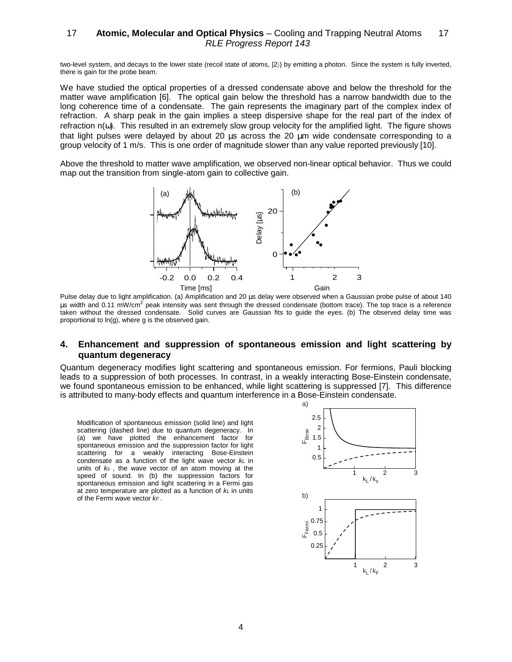two-level system, and decays to the lower state (recoil state of atoms, |2〉) by emitting a photon. Since the system is fully inverted, there is gain for the probe beam.

We have studied the optical properties of a dressed condensate above and below the threshold for the matter wave amplification [6]. The optical gain below the threshold has a narrow bandwidth due to the long coherence time of a condensate. The gain represents the imaginary part of the complex index of refraction. A sharp peak in the gain implies a steep dispersive shape for the real part of the index of refraction n(ω). This resulted in an extremely slow group velocity for the amplified light. The figure shows that light pulses were delayed by about 20 µs across the 20 µm wide condensate corresponding to a group velocity of 1 m/s. This is one order of magnitude slower than any value reported previously [10].

Above the threshold to matter wave amplification, we observed non-linear optical behavior. Thus we could map out the transition from single-atom gain to collective gain.



Pulse delay due to light amplification. (a) Amplification and 20 µs delay were observed when a Gaussian probe pulse of about 140 us width and 0.11 mW/cm<sup>2</sup> peak intensity was sent through the dressed condensate (bottom trace). The top trace is a reference taken without the dressed condensate. Solid curves are Gaussian fits to guide the eyes. (b) The observed delay time was proportional to ln(g), where g is the observed gain.

#### **4. Enhancement and suppression of spontaneous emission and light scattering by quantum degeneracy**

Quantum degeneracy modifies light scattering and spontaneous emission. For fermions, Pauli blocking leads to a suppression of both processes. In contrast, in a weakly interacting Bose-Einstein condensate, we found spontaneous emission to be enhanced, while light scattering is suppressed [7]. This difference is attributed to many-body effects and quantum interference in a Bose-Einstein condensate.

Modification of spontaneous emission (solid line) and light scattering (dashed line) due to quantum degeneracy. In (a) we have plotted the enhancement factor for spontaneous emission and the suppression factor for light scattering for a weakly interacting Bose-Einstein condensate as a function of the light wave vector  $k\mathsf{L}$  in units of  $k<sub>s</sub>$ , the wave vector of an atom moving at the speed of sound. In (b) the suppression factors for spontaneous emission and light scattering in a Fermi gas at zero temperature are plotted as a function of  $k$ L in units of the Fermi wave vector  $k_F$ .

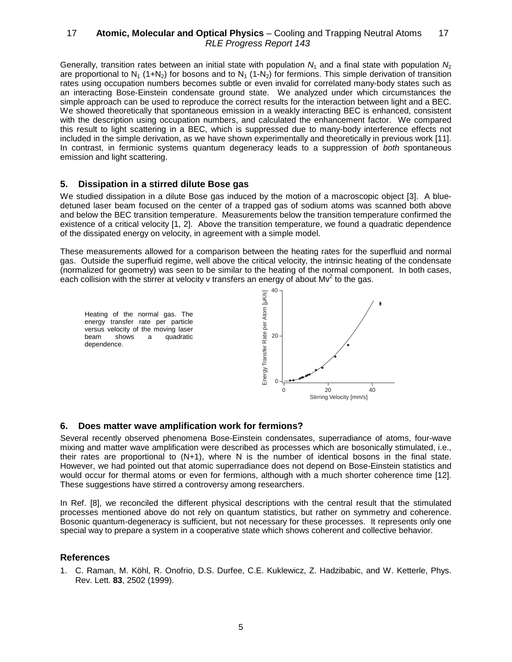Generally, transition rates between an initial state with population  $N_1$  and a final state with population  $N_2$ are proportional to N<sub>1</sub> (1+N<sub>2</sub>) for bosons and to N<sub>1</sub> (1-N<sub>2</sub>) for fermions. This simple derivation of transition rates using occupation numbers becomes subtle or even invalid for correlated many-body states such as an interacting Bose-Einstein condensate ground state. We analyzed under which circumstances the simple approach can be used to reproduce the correct results for the interaction between light and a BEC. We showed theoretically that spontaneous emission in a weakly interacting BEC is enhanced, consistent with the description using occupation numbers, and calculated the enhancement factor. We compared this result to light scattering in a BEC, which is suppressed due to many-body interference effects not included in the simple derivation, as we have shown experimentally and theoretically in previous work [11]. In contrast, in fermionic systems quantum degeneracy leads to a suppression of both spontaneous emission and light scattering.

#### **5. Dissipation in a stirred dilute Bose gas**

We studied dissipation in a dilute Bose gas induced by the motion of a macroscopic object [3]. A bluedetuned laser beam focused on the center of a trapped gas of sodium atoms was scanned both above and below the BEC transition temperature. Measurements below the transition temperature confirmed the existence of a critical velocity [1, 2]. Above the transition temperature, we found a quadratic dependence of the dissipated energy on velocity, in agreement with a simple model.

These measurements allowed for a comparison between the heating rates for the superfluid and normal gas. Outside the superfluid regime, well above the critical velocity, the intrinsic heating of the condensate (normalized for geometry) was seen to be similar to the heating of the normal component. In both cases, each collision with the stirrer at velocity v transfers an energy of about  $Mv^2$  to the gas.



#### **6. Does matter wave amplification work for fermions?**

Several recently observed phenomena Bose-Einstein condensates, superradiance of atoms, four-wave mixing and matter wave amplification were described as processes which are bosonically stimulated, i.e., their rates are proportional to (N+1), where N is the number of identical bosons in the final state. However, we had pointed out that atomic superradiance does not depend on Bose-Einstein statistics and would occur for thermal atoms or even for fermions, although with a much shorter coherence time [12]. These suggestions have stirred a controversy among researchers.

In Ref. [8], we reconciled the different physical descriptions with the central result that the stimulated processes mentioned above do not rely on quantum statistics, but rather on symmetry and coherence. Bosonic quantum-degeneracy is sufficient, but not necessary for these processes. It represents only one special way to prepare a system in a cooperative state which shows coherent and collective behavior.

#### **References**

1. C. Raman, M. Köhl, R. Onofrio, D.S. Durfee, C.E. Kuklewicz, Z. Hadzibabic, and W. Ketterle, Phys. Rev. Lett. **83**, 2502 (1999).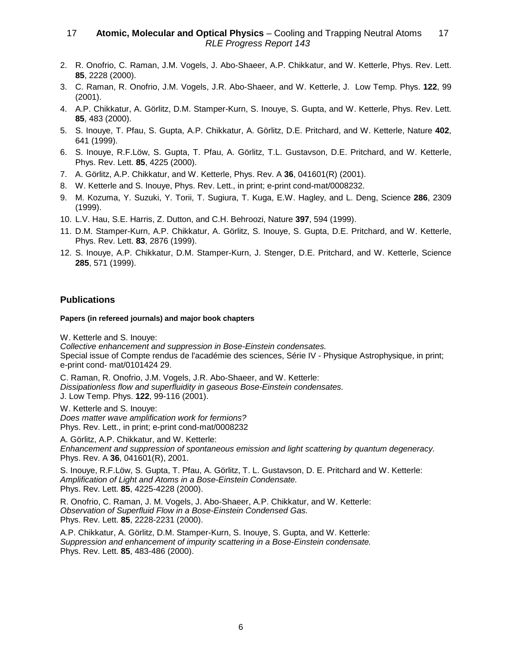- 2. R. Onofrio, C. Raman, J.M. Vogels, J. Abo-Shaeer, A.P. Chikkatur, and W. Ketterle, Phys. Rev. Lett. **85**, 2228 (2000).
- 3. C. Raman, R. Onofrio, J.M. Vogels, J.R. Abo-Shaeer, and W. Ketterle, J. Low Temp. Phys. **122**, 99 (2001).
- 4. A.P. Chikkatur, A. Görlitz, D.M. Stamper-Kurn, S. Inouye, S. Gupta, and W. Ketterle, Phys. Rev. Lett. **85**, 483 (2000).
- 5. S. Inouye, T. Pfau, S. Gupta, A.P. Chikkatur, A. Görlitz, D.E. Pritchard, and W. Ketterle, Nature **402**, 641 (1999).
- 6. S. Inouye, R.F.Löw, S. Gupta, T. Pfau, A. Görlitz, T.L. Gustavson, D.E. Pritchard, and W. Ketterle, Phys. Rev. Lett. **85**, 4225 (2000).
- 7. A. Görlitz, A.P. Chikkatur, and W. Ketterle, Phys. Rev. A **36**, 041601(R) (2001).
- 8. W. Ketterle and S. Inouye, Phys. Rev. Lett., in print; e-print cond-mat/0008232.
- 9. M. Kozuma, Y. Suzuki, Y. Torii, T. Sugiura, T. Kuga, E.W. Hagley, and L. Deng, Science **286**, 2309 (1999).
- 10. L.V. Hau, S.E. Harris, Z. Dutton, and C.H. Behroozi, Nature **397**, 594 (1999).
- 11. D.M. Stamper-Kurn, A.P. Chikkatur, A. Görlitz, S. Inouye, S. Gupta, D.E. Pritchard, and W. Ketterle, Phys. Rev. Lett. **83**, 2876 (1999).
- 12. S. Inouye, A.P. Chikkatur, D.M. Stamper-Kurn, J. Stenger, D.E. Pritchard, and W. Ketterle, Science **285**, 571 (1999).

#### **Publications**

#### **Papers (in refereed journals) and major book chapters**

W. Ketterle and S. Inouye:

Collective enhancement and suppression in Bose-Einstein condensates. Special issue of Compte rendus de l'académie des sciences, Série IV - Physique Astrophysique, in print; e-print cond- mat/0101424 29.

C. Raman, R. Onofrio, J.M. Vogels, J.R. Abo-Shaeer, and W. Ketterle: Dissipationless flow and superfluidity in gaseous Bose-Einstein condensates. J. Low Temp. Phys. **122**, 99-116 (2001).

W. Ketterle and S. Inouye: Does matter wave amplification work for fermions? Phys. Rev. Lett., in print; e-print cond-mat/0008232

A. Görlitz, A.P. Chikkatur, and W. Ketterle: Enhancement and suppression of spontaneous emission and light scattering by quantum degeneracy. Phys. Rev. A **36**, 041601(R), 2001.

S. Inouye, R.F.Löw, S. Gupta, T. Pfau, A. Görlitz, T. L. Gustavson, D. E. Pritchard and W. Ketterle: Amplification of Light and Atoms in a Bose-Einstein Condensate. Phys. Rev. Lett. **85**, 4225-4228 (2000).

R. Onofrio, C. Raman, J. M. Vogels, J. Abo-Shaeer, A.P. Chikkatur, and W. Ketterle: Observation of Superfluid Flow in a Bose-Einstein Condensed Gas. Phys. Rev. Lett. **85**, 2228-2231 (2000).

A.P. Chikkatur, A. Görlitz, D.M. Stamper-Kurn, S. Inouye, S. Gupta, and W. Ketterle: Suppression and enhancement of impurity scattering in a Bose-Einstein condensate. Phys. Rev. Lett. **85**, 483-486 (2000).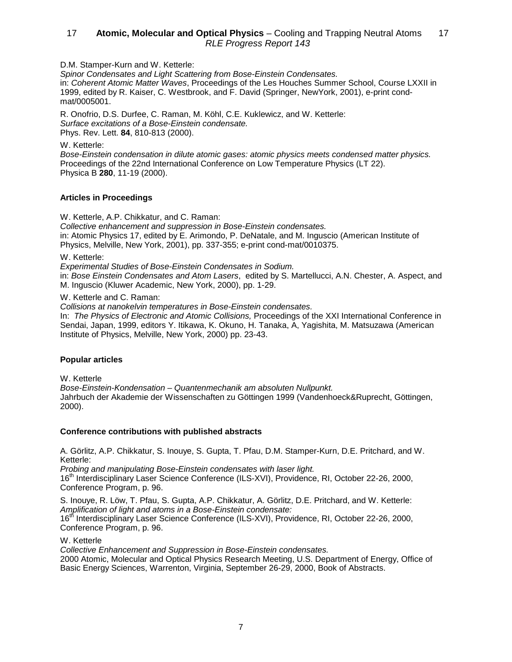D.M. Stamper-Kurn and W. Ketterle:

Spinor Condensates and Light Scattering from Bose-Einstein Condensates. in: Coherent Atomic Matter Waves, Proceedings of the Les Houches Summer School, Course LXXII in 1999, edited by R. Kaiser, C. Westbrook, and F. David (Springer, NewYork, 2001), e-print condmat/0005001.

R. Onofrio, D.S. Durfee, C. Raman, M. Köhl, C.E. Kuklewicz, and W. Ketterle: Surface excitations of a Bose-Einstein condensate. Phys. Rev. Lett. **84**, 810-813 (2000).

W. Ketterle:

Bose-Einstein condensation in dilute atomic gases: atomic physics meets condensed matter physics. Proceedings of the 22nd International Conference on Low Temperature Physics (LT 22). Physica B **280**, 11-19 (2000).

### **Articles in Proceedings**

W. Ketterle, A.P. Chikkatur, and C. Raman:

Collective enhancement and suppression in Bose-Einstein condensates. in: Atomic Physics 17, edited by E. Arimondo, P. DeNatale, and M. Inguscio (American Institute of Physics, Melville, New York, 2001), pp. 337-355; e-print cond-mat/0010375.

W. Ketterle:

Experimental Studies of Bose-Einstein Condensates in Sodium.

in: Bose Einstein Condensates and Atom Lasers, edited by S. Martellucci, A.N. Chester, A. Aspect, and M. Inguscio (Kluwer Academic, New York, 2000), pp. 1-29.

W. Ketterle and C. Raman:

Collisions at nanokelvin temperatures in Bose-Einstein condensates.

In: The Physics of Electronic and Atomic Collisions, Proceedings of the XXI International Conference in Sendai, Japan, 1999, editors Y. Itikawa, K. Okuno, H. Tanaka, A, Yagishita, M. Matsuzawa (American Institute of Physics, Melville, New York, 2000) pp. 23-43.

#### **Popular articles**

W. Ketterle

Bose-Einstein-Kondensation – Quantenmechanik am absoluten Nullpunkt. Jahrbuch der Akademie der Wissenschaften zu Göttingen 1999 (Vandenhoeck&Ruprecht, Göttingen, 2000).

#### **Conference contributions with published abstracts**

A. Görlitz, A.P. Chikkatur, S. Inouye, S. Gupta, T. Pfau, D.M. Stamper-Kurn, D.E. Pritchard, and W. Ketterle:

Probing and manipulating Bose-Einstein condensates with laser light.

16<sup>th</sup> Interdisciplinary Laser Science Conference (ILS-XVI), Providence, RI, October 22-26, 2000, Conference Program, p. 96.

S. Inouye, R. Löw, T. Pfau, S. Gupta, A.P. Chikkatur, A. Görlitz, D.E. Pritchard, and W. Ketterle: Amplification of light and atoms in a Bose-Einstein condensate:

16<sup>th</sup> Interdisciplinary Laser Science Conference (ILS-XVI), Providence, RI, October 22-26, 2000, Conference Program, p. 96.

W. Ketterle

Collective Enhancement and Suppression in Bose-Einstein condensates. 2000 Atomic, Molecular and Optical Physics Research Meeting, U.S. Department of Energy, Office of Basic Energy Sciences, Warrenton, Virginia, September 26-29, 2000, Book of Abstracts.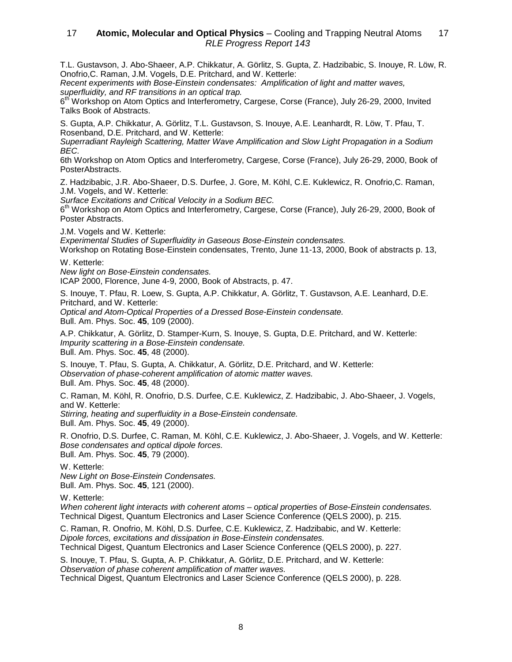T.L. Gustavson, J. Abo-Shaeer, A.P. Chikkatur, A. Görlitz, S. Gupta, Z. Hadzibabic, S. Inouye, R. Löw, R. Onofrio,C. Raman, J.M. Vogels, D.E. Pritchard, and W. Ketterle:

Recent experiments with Bose-Einstein condensates: Amplification of light and matter waves, superfluidity, and RF transitions in an optical trap.

 $6<sup>th</sup>$  Workshop on Atom Optics and Interferometry, Cargese, Corse (France), July 26-29, 2000, Invited Talks Book of Abstracts.

S. Gupta, A.P. Chikkatur, A. Görlitz, T.L. Gustavson, S. Inouye, A.E. Leanhardt, R. Löw, T. Pfau, T. Rosenband, D.E. Pritchard, and W. Ketterle:

Superradiant Rayleigh Scattering, Matter Wave Amplification and Slow Light Propagation in a Sodium BEC.

6th Workshop on Atom Optics and Interferometry, Cargese, Corse (France), July 26-29, 2000, Book of PosterAbstracts.

Z. Hadzibabic, J.R. Abo-Shaeer, D.S. Durfee, J. Gore, M. Köhl, C.E. Kuklewicz, R. Onofrio,C. Raman, J.M. Vogels, and W. Ketterle:

Surface Excitations and Critical Velocity in a Sodium BEC.

 $6<sup>m</sup>$  Workshop on Atom Optics and Interferometry, Cargese, Corse (France), July 26-29, 2000, Book of Poster Abstracts.

J.M. Vogels and W. Ketterle:

Experimental Studies of Superfluidity in Gaseous Bose-Einstein condensates.

Workshop on Rotating Bose-Einstein condensates, Trento, June 11-13, 2000, Book of abstracts p. 13,

W. Ketterle:

New light on Bose-Einstein condensates.

ICAP 2000, Florence, June 4-9, 2000, Book of Abstracts, p. 47.

S. Inouye, T. Pfau, R. Loew, S. Gupta, A.P. Chikkatur, A. Görlitz, T. Gustavson, A.E. Leanhard, D.E. Pritchard, and W. Ketterle:

Optical and Atom-Optical Properties of a Dressed Bose-Einstein condensate. Bull. Am. Phys. Soc. **45**, 109 (2000).

A.P. Chikkatur, A. Görlitz, D. Stamper-Kurn, S. Inouye, S. Gupta, D.E. Pritchard, and W. Ketterle: Impurity scattering in a Bose-Einstein condensate. Bull. Am. Phys. Soc. **45**, 48 (2000).

S. Inouye, T. Pfau, S. Gupta, A. Chikkatur, A. Görlitz, D.E. Pritchard, and W. Ketterle: Observation of phase-coherent amplification of atomic matter waves. Bull. Am. Phys. Soc. **45**, 48 (2000).

C. Raman, M. Köhl, R. Onofrio, D.S. Durfee, C.E. Kuklewicz, Z. Hadzibabic, J. Abo-Shaeer, J. Vogels, and W. Ketterle: Stirring, heating and superfluidity in a Bose-Einstein condensate. Bull. Am. Phys. Soc. **45**, 49 (2000).

R. Onofrio, D.S. Durfee, C. Raman, M. Köhl, C.E. Kuklewicz, J. Abo-Shaeer, J. Vogels, and W. Ketterle: Bose condensates and optical dipole forces. Bull. Am. Phys. Soc. **45**, 79 (2000).

W. Ketterle:

New Light on Bose-Einstein Condensates. Bull. Am. Phys. Soc. **45**, 121 (2000).

W. Ketterle:

When coherent light interacts with coherent atoms – optical properties of Bose-Einstein condensates. Technical Digest, Quantum Electronics and Laser Science Conference (QELS 2000), p. 215.

C. Raman, R. Onofrio, M. Köhl, D.S. Durfee, C.E. Kuklewicz, Z. Hadzibabic, and W. Ketterle: Dipole forces, excitations and dissipation in Bose-Einstein condensates.

Technical Digest, Quantum Electronics and Laser Science Conference (QELS 2000), p. 227.

S. Inouye, T. Pfau, S. Gupta, A. P. Chikkatur, A. Görlitz, D.E. Pritchard, and W. Ketterle: Observation of phase coherent amplification of matter waves.

Technical Digest, Quantum Electronics and Laser Science Conference (QELS 2000), p. 228.